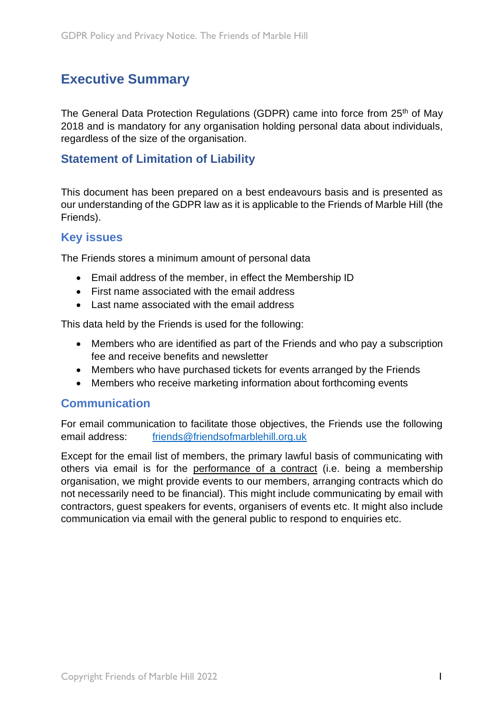# **Executive Summary**

The General Data Protection Regulations (GDPR) came into force from 25<sup>th</sup> of May 2018 and is mandatory for any organisation holding personal data about individuals, regardless of the size of the organisation.

## **Statement of Limitation of Liability**

This document has been prepared on a best endeavours basis and is presented as our understanding of the GDPR law as it is applicable to the Friends of Marble Hill (the Friends).

## **Key issues**

The Friends stores a minimum amount of personal data

- Email address of the member, in effect the Membership ID
- First name associated with the email address
- Last name associated with the email address

This data held by the Friends is used for the following:

- Members who are identified as part of the Friends and who pay a subscription fee and receive benefits and newsletter
- Members who have purchased tickets for events arranged by the Friends
- Members who receive marketing information about forthcoming events

## **Communication**

For email communication to facilitate those objectives, the Friends use the following email address: [friends@friendsofmarblehill.org.uk](mailto:friends@friendsofmarblehill.org.uk)

Except for the email list of members, the primary lawful basis of communicating with others via email is for the performance of a contract (i.e. being a membership organisation, we might provide events to our members, arranging contracts which do not necessarily need to be financial). This might include communicating by email with contractors, guest speakers for events, organisers of events etc. It might also include communication via email with the general public to respond to enquiries etc.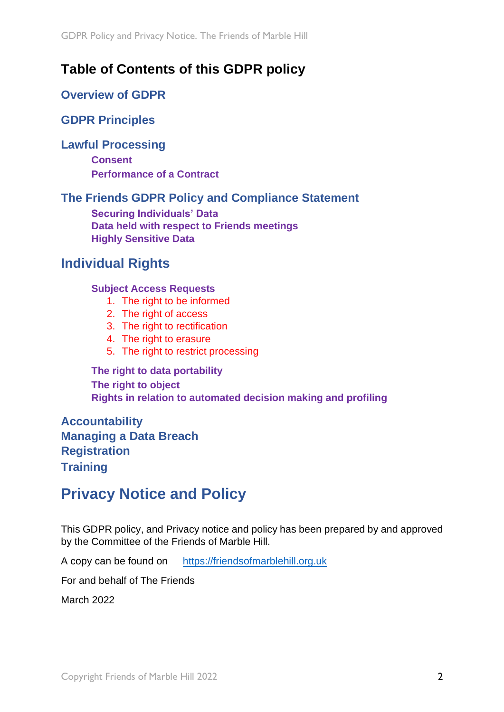# **Table of Contents of this GDPR policy**

## **Overview of GDPR**

## **GDPR Principles**

## **Lawful Processing**

**Consent Performance of a Contract**

## **The Friends GDPR Policy and Compliance Statement**

**Securing Individuals' Data Data held with respect to Friends meetings Highly Sensitive Data**

## **Individual Rights**

#### **Subject Access Requests**

- 1. The right to be informed
- 2. The right of access
- 3. The right to rectification
- 4. The right to erasure
- 5. The right to restrict processing

**The right to data portability The right to object Rights in relation to automated decision making and profiling**

**Accountability Managing a Data Breach Registration Training**

# **Privacy Notice and Policy**

This GDPR policy, and Privacy notice and policy has been prepared by and approved by the Committee of the Friends of Marble Hill.

A copy can be found on [https://friendsofmarblehill.org.uk](https://friendsofmarblehill.org.uk/)

For and behalf of The Friends

March 2022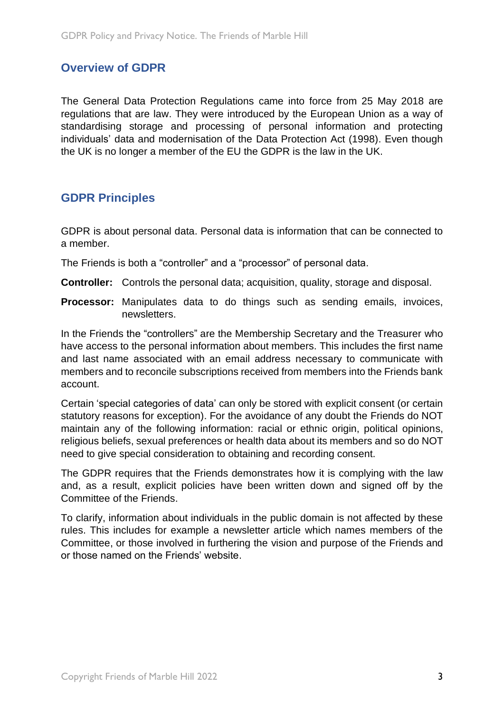## **Overview of GDPR**

The General Data Protection Regulations came into force from 25 May 2018 are regulations that are law. They were introduced by the European Union as a way of standardising storage and processing of personal information and protecting individuals' data and modernisation of the Data Protection Act (1998). Even though the UK is no longer a member of the EU the GDPR is the law in the UK.

## **GDPR Principles**

GDPR is about personal data. Personal data is information that can be connected to a member.

The Friends is both a "controller" and a "processor" of personal data.

- **Controller:** Controls the personal data; acquisition, quality, storage and disposal.
- **Processor:** Manipulates data to do things such as sending emails, invoices, newsletters.

In the Friends the "controllers" are the Membership Secretary and the Treasurer who have access to the personal information about members. This includes the first name and last name associated with an email address necessary to communicate with members and to reconcile subscriptions received from members into the Friends bank account.

Certain 'special categories of data' can only be stored with explicit consent (or certain statutory reasons for exception). For the avoidance of any doubt the Friends do NOT maintain any of the following information: racial or ethnic origin, political opinions, religious beliefs, sexual preferences or health data about its members and so do NOT need to give special consideration to obtaining and recording consent.

The GDPR requires that the Friends demonstrates how it is complying with the law and, as a result, explicit policies have been written down and signed off by the Committee of the Friends.

To clarify, information about individuals in the public domain is not affected by these rules. This includes for example a newsletter article which names members of the Committee, or those involved in furthering the vision and purpose of the Friends and or those named on the Friends' website.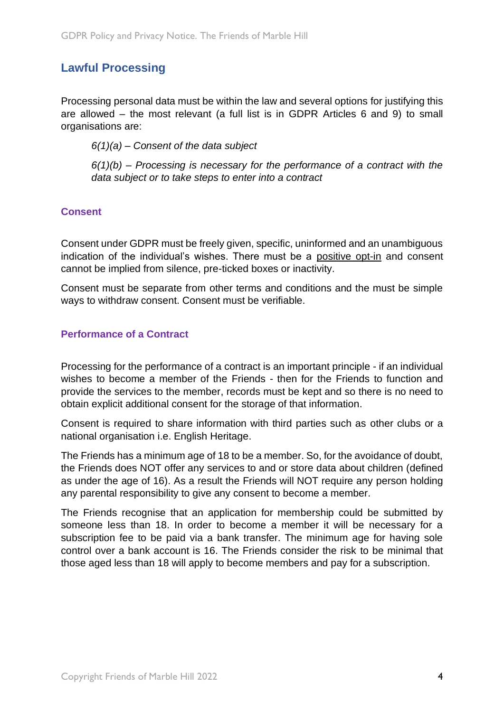## **Lawful Processing**

Processing personal data must be within the law and several options for justifying this are allowed – the most relevant (a full list is in GDPR Articles 6 and 9) to small organisations are:

*6(1)(a) – Consent of the data subject*

*6(1)(b) – Processing is necessary for the performance of a contract with the data subject or to take steps to enter into a contract*

#### **Consent**

Consent under GDPR must be freely given, specific, uninformed and an unambiguous indication of the individual's wishes. There must be a positive opt-in and consent cannot be implied from silence, pre-ticked boxes or inactivity.

Consent must be separate from other terms and conditions and the must be simple ways to withdraw consent. Consent must be verifiable.

#### **Performance of a Contract**

Processing for the performance of a contract is an important principle - if an individual wishes to become a member of the Friends - then for the Friends to function and provide the services to the member, records must be kept and so there is no need to obtain explicit additional consent for the storage of that information.

Consent is required to share information with third parties such as other clubs or a national organisation i.e. English Heritage.

The Friends has a minimum age of 18 to be a member. So, for the avoidance of doubt, the Friends does NOT offer any services to and or store data about children (defined as under the age of 16). As a result the Friends will NOT require any person holding any parental responsibility to give any consent to become a member.

The Friends recognise that an application for membership could be submitted by someone less than 18. In order to become a member it will be necessary for a subscription fee to be paid via a bank transfer. The minimum age for having sole control over a bank account is 16. The Friends consider the risk to be minimal that those aged less than 18 will apply to become members and pay for a subscription.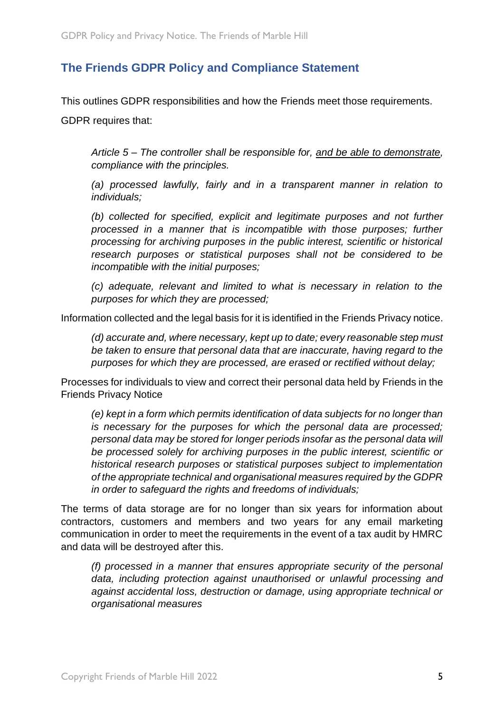## **The Friends GDPR Policy and Compliance Statement**

This outlines GDPR responsibilities and how the Friends meet those requirements.

GDPR requires that:

*Article 5 – The controller shall be responsible for, and be able to demonstrate, compliance with the principles.*

*(a) processed lawfully, fairly and in a transparent manner in relation to individuals;*

*(b) collected for specified, explicit and legitimate purposes and not further processed in a manner that is incompatible with those purposes; further processing for archiving purposes in the public interest, scientific or historical research purposes or statistical purposes shall not be considered to be incompatible with the initial purposes;*

*(c) adequate, relevant and limited to what is necessary in relation to the purposes for which they are processed;*

Information collected and the legal basis for it is identified in the Friends Privacy notice.

*(d) accurate and, where necessary, kept up to date; every reasonable step must be taken to ensure that personal data that are inaccurate, having regard to the purposes for which they are processed, are erased or rectified without delay;*

Processes for individuals to view and correct their personal data held by Friends in the Friends Privacy Notice

*(e) kept in a form which permits identification of data subjects for no longer than is necessary for the purposes for which the personal data are processed; personal data may be stored for longer periods insofar as the personal data will be processed solely for archiving purposes in the public interest, scientific or historical research purposes or statistical purposes subject to implementation of the appropriate technical and organisational measures required by the GDPR in order to safeguard the rights and freedoms of individuals;*

The terms of data storage are for no longer than six years for information about contractors, customers and members and two years for any email marketing communication in order to meet the requirements in the event of a tax audit by HMRC and data will be destroyed after this.

*(f) processed in a manner that ensures appropriate security of the personal data, including protection against unauthorised or unlawful processing and against accidental loss, destruction or damage, using appropriate technical or organisational measures*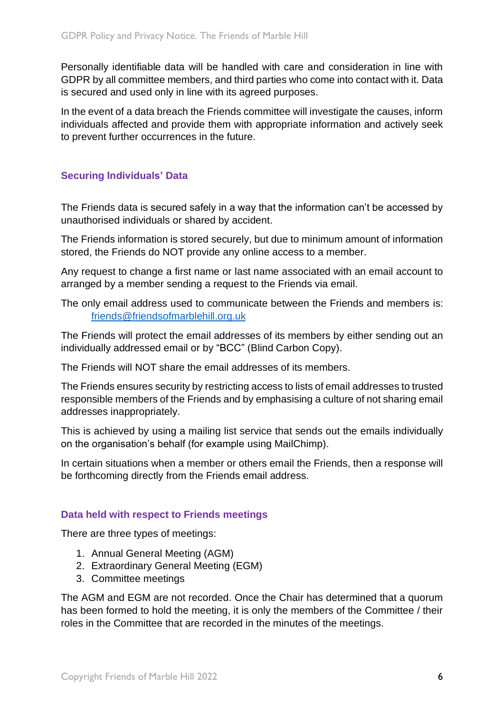Personally identifiable data will be handled with care and consideration in line with GDPR by all committee members, and third parties who come into contact with it. Data is secured and used only in line with its agreed purposes.

In the event of a data breach the Friends committee will investigate the causes, inform individuals affected and provide them with appropriate information and actively seek to prevent further occurrences in the future.

## **Securing Individuals' Data**

The Friends data is secured safely in a way that the information can't be accessed by unauthorised individuals or shared by accident.

The Friends information is stored securely, but due to minimum amount of information stored, the Friends do NOT provide any online access to a member.

Any request to change a first name or last name associated with an email account to arranged by a member sending a request to the Friends via email.

The only email address used to communicate between the Friends and members is: [friends@friendsofmarblehill.org.uk](mailto:friends@friendsofmarblehill.org.uk)

The Friends will protect the email addresses of its members by either sending out an individually addressed email or by "BCC" (Blind Carbon Copy).

The Friends will NOT share the email addresses of its members.

The Friends ensures security by restricting access to lists of email addresses to trusted responsible members of the Friends and by emphasising a culture of not sharing email addresses inappropriately.

This is achieved by using a mailing list service that sends out the emails individually on the organisation's behalf (for example using MailChimp).

In certain situations when a member or others email the Friends, then a response will be forthcoming directly from the Friends email address.

#### **Data held with respect to Friends meetings**

There are three types of meetings:

- 1. Annual General Meeting (AGM)
- 2. Extraordinary General Meeting (EGM)
- 3. Committee meetings

The AGM and EGM are not recorded. Once the Chair has determined that a quorum has been formed to hold the meeting, it is only the members of the Committee / their roles in the Committee that are recorded in the minutes of the meetings.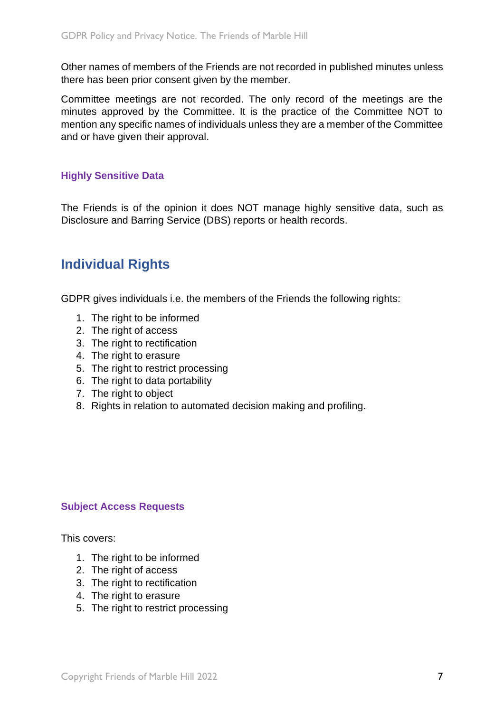Other names of members of the Friends are not recorded in published minutes unless there has been prior consent given by the member.

Committee meetings are not recorded. The only record of the meetings are the minutes approved by the Committee. It is the practice of the Committee NOT to mention any specific names of individuals unless they are a member of the Committee and or have given their approval.

#### **Highly Sensitive Data**

The Friends is of the opinion it does NOT manage highly sensitive data, such as Disclosure and Barring Service (DBS) reports or health records.

# **Individual Rights**

GDPR gives individuals i.e. the members of the Friends the following rights:

- 1. The right to be informed
- 2. The right of access
- 3. The right to rectification
- 4. The right to erasure
- 5. The right to restrict processing
- 6. The right to data portability
- 7. The right to object
- 8. Rights in relation to automated decision making and profiling.

#### **Subject Access Requests**

This covers:

- 1. The right to be informed
- 2. The right of access
- 3. The right to rectification
- 4. The right to erasure
- 5. The right to restrict processing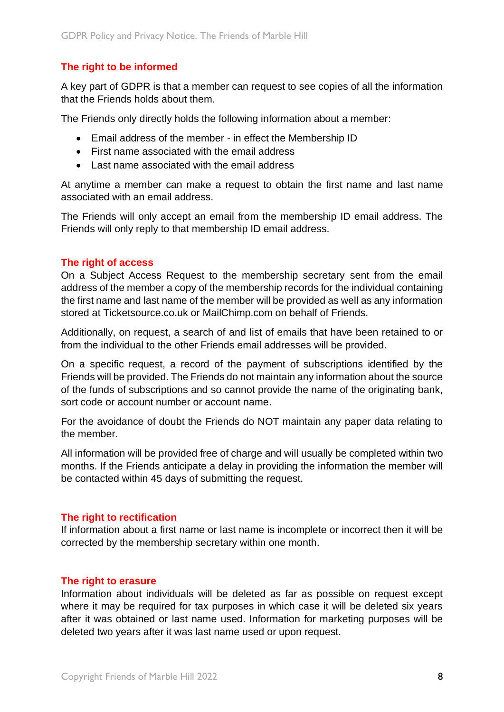## **The right to be informed**

A key part of GDPR is that a member can request to see copies of all the information that the Friends holds about them.

The Friends only directly holds the following information about a member:

- Email address of the member in effect the Membership ID
- First name associated with the email address
- Last name associated with the email address

At anytime a member can make a request to obtain the first name and last name associated with an email address.

The Friends will only accept an email from the membership ID email address. The Friends will only reply to that membership ID email address.

#### **The right of access**

On a Subject Access Request to the membership secretary sent from the email address of the member a copy of the membership records for the individual containing the first name and last name of the member will be provided as well as any information stored at Ticketsource.co.uk or MailChimp.com on behalf of Friends.

Additionally, on request, a search of and list of emails that have been retained to or from the individual to the other Friends email addresses will be provided.

On a specific request, a record of the payment of subscriptions identified by the Friends will be provided. The Friends do not maintain any information about the source of the funds of subscriptions and so cannot provide the name of the originating bank, sort code or account number or account name.

For the avoidance of doubt the Friends do NOT maintain any paper data relating to the member.

All information will be provided free of charge and will usually be completed within two months. If the Friends anticipate a delay in providing the information the member will be contacted within 45 days of submitting the request.

#### **The right to rectification**

If information about a first name or last name is incomplete or incorrect then it will be corrected by the membership secretary within one month.

#### **The right to erasure**

Information about individuals will be deleted as far as possible on request except where it may be required for tax purposes in which case it will be deleted six years after it was obtained or last name used. Information for marketing purposes will be deleted two years after it was last name used or upon request.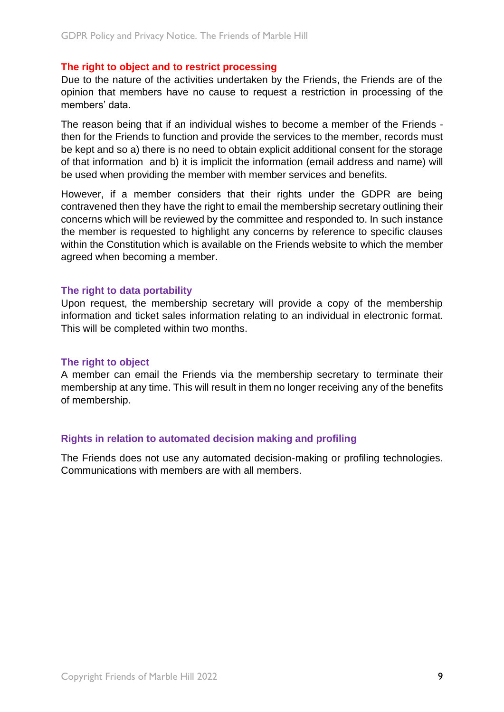#### **The right to object and to restrict processing**

Due to the nature of the activities undertaken by the Friends, the Friends are of the opinion that members have no cause to request a restriction in processing of the members' data.

The reason being that if an individual wishes to become a member of the Friends then for the Friends to function and provide the services to the member, records must be kept and so a) there is no need to obtain explicit additional consent for the storage of that information and b) it is implicit the information (email address and name) will be used when providing the member with member services and benefits.

However, if a member considers that their rights under the GDPR are being contravened then they have the right to email the membership secretary outlining their concerns which will be reviewed by the committee and responded to. In such instance the member is requested to highlight any concerns by reference to specific clauses within the Constitution which is available on the Friends website to which the member agreed when becoming a member.

#### **The right to data portability**

Upon request, the membership secretary will provide a copy of the membership information and ticket sales information relating to an individual in electronic format. This will be completed within two months.

#### **The right to object**

A member can email the Friends via the membership secretary to terminate their membership at any time. This will result in them no longer receiving any of the benefits of membership.

#### **Rights in relation to automated decision making and profiling**

The Friends does not use any automated decision-making or profiling technologies. Communications with members are with all members.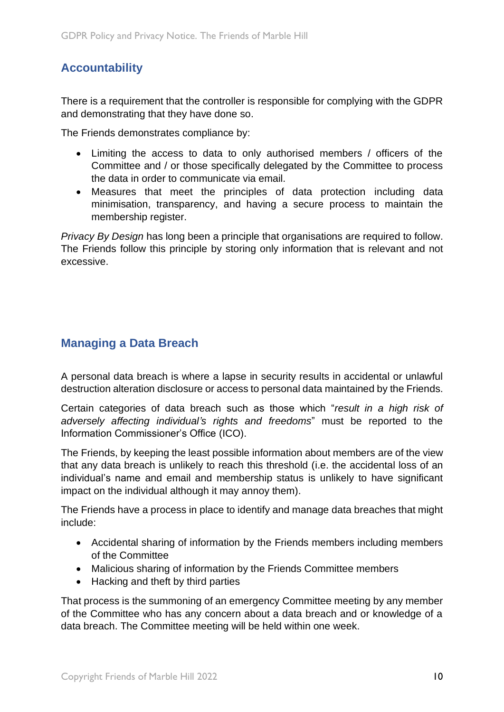## **Accountability**

There is a requirement that the controller is responsible for complying with the GDPR and demonstrating that they have done so.

The Friends demonstrates compliance by:

- Limiting the access to data to only authorised members / officers of the Committee and / or those specifically delegated by the Committee to process the data in order to communicate via email.
- Measures that meet the principles of data protection including data minimisation, transparency, and having a secure process to maintain the membership register.

*Privacy By Design* has long been a principle that organisations are required to follow. The Friends follow this principle by storing only information that is relevant and not excessive.

## **Managing a Data Breach**

A personal data breach is where a lapse in security results in accidental or unlawful destruction alteration disclosure or access to personal data maintained by the Friends.

Certain categories of data breach such as those which "*result in a high risk of adversely affecting individual's rights and freedoms*" must be reported to the Information Commissioner's Office (ICO).

The Friends, by keeping the least possible information about members are of the view that any data breach is unlikely to reach this threshold (i.e. the accidental loss of an individual's name and email and membership status is unlikely to have significant impact on the individual although it may annoy them).

The Friends have a process in place to identify and manage data breaches that might include:

- Accidental sharing of information by the Friends members including members of the Committee
- Malicious sharing of information by the Friends Committee members
- Hacking and theft by third parties

That process is the summoning of an emergency Committee meeting by any member of the Committee who has any concern about a data breach and or knowledge of a data breach. The Committee meeting will be held within one week.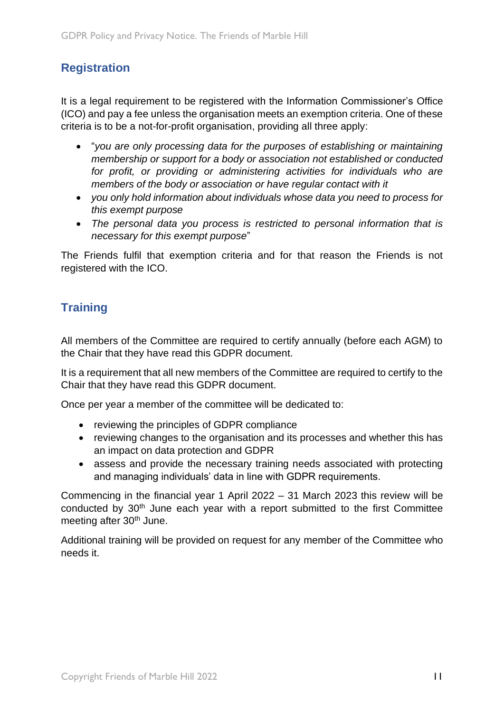## **Registration**

It is a legal requirement to be registered with the Information Commissioner's Office (ICO) and pay a fee unless the organisation meets an exemption criteria. One of these criteria is to be a not-for-profit organisation, providing all three apply:

- "*you are only processing data for the purposes of establishing or maintaining membership or support for a body or association not established or conducted for profit, or providing or administering activities for individuals who are members of the body or association or have regular contact with it*
- *you only hold information about individuals whose data you need to process for this exempt purpose*
- *The personal data you process is restricted to personal information that is necessary for this exempt purpose*"

The Friends fulfil that exemption criteria and for that reason the Friends is not registered with the ICO.

# **Training**

All members of the Committee are required to certify annually (before each AGM) to the Chair that they have read this GDPR document.

It is a requirement that all new members of the Committee are required to certify to the Chair that they have read this GDPR document.

Once per year a member of the committee will be dedicated to:

- reviewing the principles of GDPR compliance
- reviewing changes to the organisation and its processes and whether this has an impact on data protection and GDPR
- assess and provide the necessary training needs associated with protecting and managing individuals' data in line with GDPR requirements.

Commencing in the financial year 1 April 2022 – 31 March 2023 this review will be conducted by 30th June each year with a report submitted to the first Committee meeting after 30<sup>th</sup> June.

Additional training will be provided on request for any member of the Committee who needs it.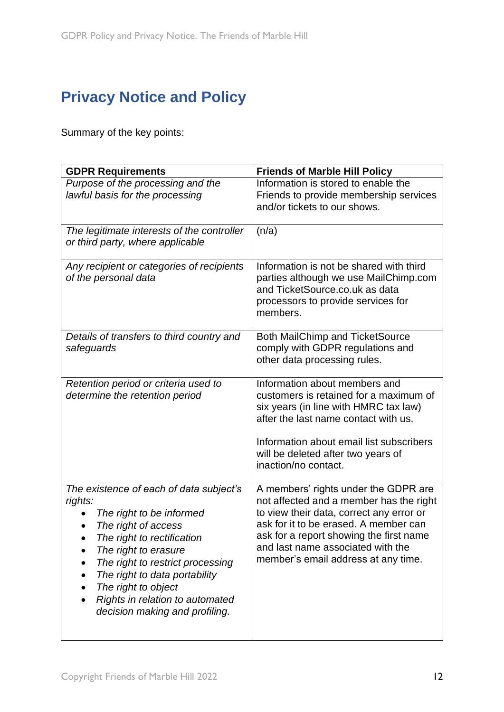# **Privacy Notice and Policy**

Summary of the key points:

| <b>GDPR Requirements</b>                                                                                                                                                                                                                                                                                                     | <b>Friends of Marble Hill Policy</b>                                                                                                                                                                                                                                                        |
|------------------------------------------------------------------------------------------------------------------------------------------------------------------------------------------------------------------------------------------------------------------------------------------------------------------------------|---------------------------------------------------------------------------------------------------------------------------------------------------------------------------------------------------------------------------------------------------------------------------------------------|
| Purpose of the processing and the<br>lawful basis for the processing                                                                                                                                                                                                                                                         | Information is stored to enable the<br>Friends to provide membership services<br>and/or tickets to our shows.                                                                                                                                                                               |
| The legitimate interests of the controller<br>or third party, where applicable                                                                                                                                                                                                                                               | (n/a)                                                                                                                                                                                                                                                                                       |
| Any recipient or categories of recipients<br>of the personal data                                                                                                                                                                                                                                                            | Information is not be shared with third<br>parties although we use MailChimp.com<br>and TicketSource.co.uk as data<br>processors to provide services for<br>members.                                                                                                                        |
| Details of transfers to third country and<br>safeguards                                                                                                                                                                                                                                                                      | <b>Both MailChimp and TicketSource</b><br>comply with GDPR regulations and<br>other data processing rules.                                                                                                                                                                                  |
| Retention period or criteria used to<br>determine the retention period                                                                                                                                                                                                                                                       | Information about members and<br>customers is retained for a maximum of<br>six years (in line with HMRC tax law)<br>after the last name contact with us.<br>Information about email list subscribers<br>will be deleted after two years of<br>inaction/no contact.                          |
| The existence of each of data subject's<br>rights:<br>The right to be informed<br>The right of access<br>The right to rectification<br>The right to erasure<br>The right to restrict processing<br>The right to data portability<br>The right to object<br>Rights in relation to automated<br>decision making and profiling. | A members' rights under the GDPR are<br>not affected and a member has the right<br>to view their data, correct any error or<br>ask for it to be erased. A member can<br>ask for a report showing the first name<br>and last name associated with the<br>member's email address at any time. |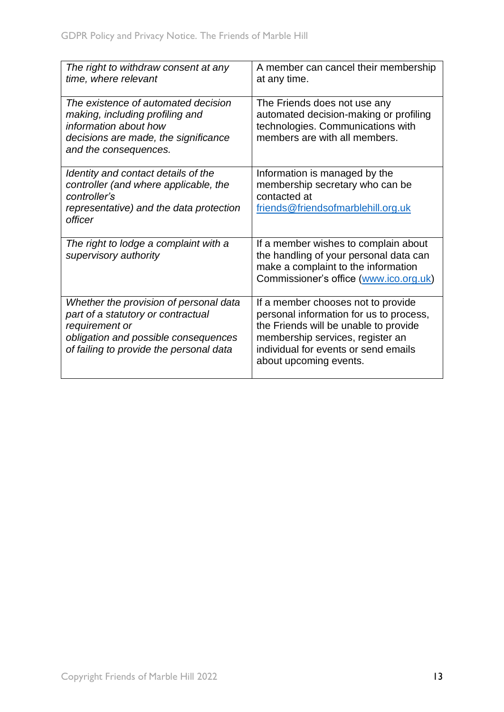| The right to withdraw consent at any<br>time, where relevant                                                                                                                      | A member can cancel their membership<br>at any time.                                                                                                                                                                         |
|-----------------------------------------------------------------------------------------------------------------------------------------------------------------------------------|------------------------------------------------------------------------------------------------------------------------------------------------------------------------------------------------------------------------------|
| The existence of automated decision<br>making, including profiling and<br>information about how<br>decisions are made, the significance<br>and the consequences.                  | The Friends does not use any<br>automated decision-making or profiling<br>technologies. Communications with<br>members are with all members.                                                                                 |
| Identity and contact details of the<br>controller (and where applicable, the<br>controller's<br>representative) and the data protection<br>officer                                | Information is managed by the<br>membership secretary who can be<br>contacted at<br>friends@friendsofmarblehill.org.uk                                                                                                       |
| The right to lodge a complaint with a<br>supervisory authority                                                                                                                    | If a member wishes to complain about<br>the handling of your personal data can<br>make a complaint to the information<br>Commissioner's office (www.ico.org.uk)                                                              |
| Whether the provision of personal data<br>part of a statutory or contractual<br>requirement or<br>obligation and possible consequences<br>of failing to provide the personal data | If a member chooses not to provide<br>personal information for us to process,<br>the Friends will be unable to provide<br>membership services, register an<br>individual for events or send emails<br>about upcoming events. |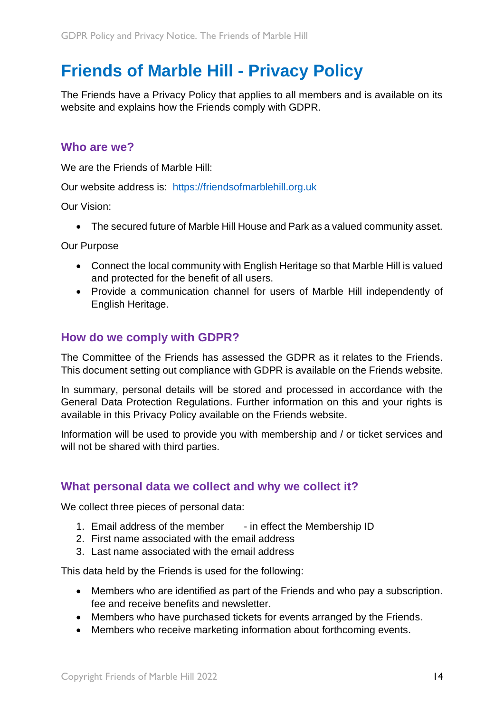# **Friends of Marble Hill - Privacy Policy**

The Friends have a Privacy Policy that applies to all members and is available on its website and explains how the Friends comply with GDPR.

## **Who are we?**

We are the Friends of Marble Hill:

Our website address is: [https://friendsofmarblehill.org.uk](https://friendsofmarblehill.org.uk/)

Our Vision:

• The secured future of Marble Hill House and Park as a valued community asset.

Our Purpose

- Connect the local community with English Heritage so that Marble Hill is valued and protected for the benefit of all users.
- Provide a communication channel for users of Marble Hill independently of English Heritage.

## **How do we comply with GDPR?**

The Committee of the Friends has assessed the GDPR as it relates to the Friends. This document setting out compliance with GDPR is available on the Friends website.

In summary, personal details will be stored and processed in accordance with the General Data Protection Regulations. Further information on this and your rights is available in this Privacy Policy available on the Friends website.

Information will be used to provide you with membership and / or ticket services and will not be shared with third parties.

## **What personal data we collect and why we collect it?**

We collect three pieces of personal data:

- 1. Email address of the member in effect the Membership ID
- 2. First name associated with the email address
- 3. Last name associated with the email address

This data held by the Friends is used for the following:

- Members who are identified as part of the Friends and who pay a subscription. fee and receive benefits and newsletter.
- Members who have purchased tickets for events arranged by the Friends.
- Members who receive marketing information about forthcoming events.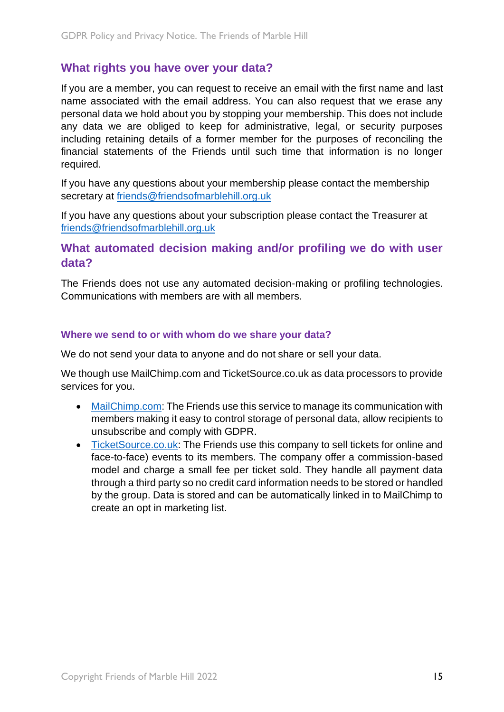## **What rights you have over your data?**

If you are a member, you can request to receive an email with the first name and last name associated with the email address. You can also request that we erase any personal data we hold about you by stopping your membership. This does not include any data we are obliged to keep for administrative, legal, or security purposes including retaining details of a former member for the purposes of reconciling the financial statements of the Friends until such time that information is no longer required.

If you have any questions about your membership please contact the membership secretary at [friends@friendsofmarblehill.org.uk](mailto:friends@friendsofmarblehill.org.uk)

If you have any questions about your subscription please contact the Treasurer at [friends@friendsofmarblehill.org.uk](mailto:friends@friendsofmarblehill.org.uk)

## **What automated decision making and/or profiling we do with user data?**

The Friends does not use any automated decision-making or profiling technologies. Communications with members are with all members.

#### **Where we send to or with whom do we share your data?**

We do not send your data to anyone and do not share or sell your data.

We though use MailChimp.com and TicketSource.co.uk as data processors to provide services for you.

- [MailChimp.com:](http://www.mailchimp.com/) The Friends use this service to manage its communication with members making it easy to control storage of personal data, allow recipients to unsubscribe and comply with GDPR.
- [TicketSource.co.uk:](http://www.ticketsource.co.uk/) The Friends use this company to sell tickets for online and face-to-face) events to its members. The company offer a commission-based model and charge a small fee per ticket sold. They handle all payment data through a third party so no credit card information needs to be stored or handled by the group. Data is stored and can be automatically linked in to MailChimp to create an opt in marketing list.